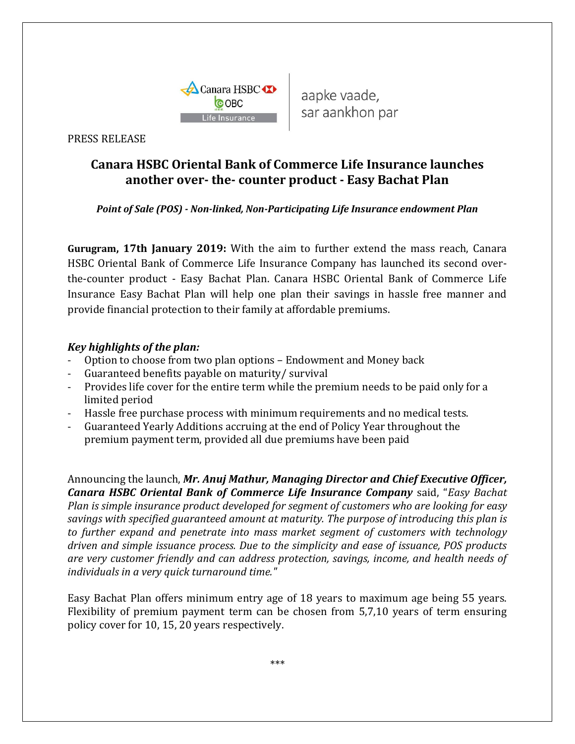

aapke vaade, sar aankhon par

PRESS RELEASE

## **Canara HSBC Oriental Bank of Commerce Life Insurance launches another over- the- counter product - Easy Bachat Plan**

*Point of Sale (POS) - Non-linked, Non-Participating Life Insurance endowment Plan*

**Gurugram, 17th January 2019:** With the aim to further extend the mass reach, Canara HSBC Oriental Bank of Commerce Life Insurance Company has launched its second overthe-counter product - Easy Bachat Plan. Canara HSBC Oriental Bank of Commerce Life Insurance Easy Bachat Plan will help one plan their savings in hassle free manner and provide financial protection to their family at affordable premiums.

## *Key highlights of the plan:*

- Option to choose from two plan options Endowment and Money back
- Guaranteed benefits payable on maturity/ survival
- Provides life cover for the entire term while the premium needs to be paid only for a limited period
- Hassle free purchase process with minimum requirements and no medical tests.
- Guaranteed Yearly Additions accruing at the end of Policy Year throughout the premium payment term, provided all due premiums have been paid

Announcing the launch, *Mr. Anuj Mathur, Managing Director and Chief Executive Officer, Canara HSBC Oriental Bank of Commerce Life Insurance Company* said, "*Easy Bachat Plan is simple insurance product developed for segment of customers who are looking for easy savings with specified guaranteed amount at maturity. The purpose of introducing this plan is to further expand and penetrate into mass market segment of customers with technology driven and simple issuance process. Due to the simplicity and ease of issuance, POS products are very customer friendly and can address protection, savings, income, and health needs of individuals in a very quick turnaround time."*

Easy Bachat Plan offers minimum entry age of 18 years to maximum age being 55 years. Flexibility of premium payment term can be chosen from 5,7,10 years of term ensuring policy cover for 10, 15, 20 years respectively.